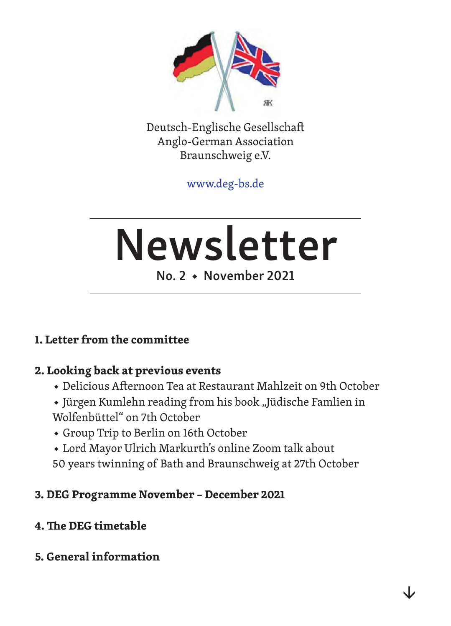

Deutsch-Englische Gesellschaft Anglo-German Association Braunschweig e.V.

www.deg-bs.de

# Newsletter

## No. 2 ◆ November 2021

## **1. Letter from the committee**

## **2. Looking back at previous events**

- ◆ Delicious Afternoon Tea at Restaurant Mahlzeit on 9th October
- ◆ Jürgen Kumlehn reading from his book "Jüdische Famlien in Wolfenbüttel" on 7th October
- ◆ Group Trip to Berlin on 16th October
- ◆ Lord Mayor Ulrich Markurth's online Zoom talk about
- 50 years twinning of Bath and Braunschweig at 27th October

## **3. DEG Programme November – December 2021**

## **4. The DEG timetable**

## **5. General information**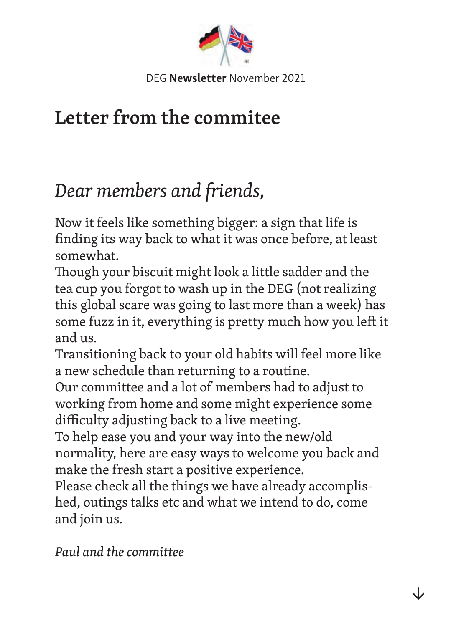

# **Letter from the commitee**

# *Dear members and friends,*

Now it feels like something bigger: a sign that life is finding its way back to what it was once before, at least somewhat.

Though your biscuit might look a little sadder and the tea cup you forgot to wash up in the DEG (not realizing this global scare was going to last more than a week) has some fuzz in it, everything is pretty much how you left it and us.

Transitioning back to your old habits will feel more like a new schedule than returning to a routine.

Our committee and a lot of members had to adjust to working from home and some might experience some difficulty adjusting back to a live meeting.

To help ease you and your way into the new/old normality, here are easy ways to welcome you back and make the fresh start a positive experience.

Please check all the things we have already accomplished, outings talks etc and what we intend to do, come and join us.

*Paul and the committee*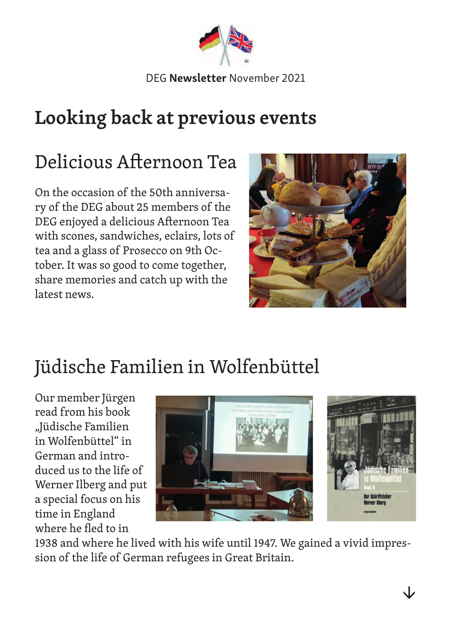

# **Looking back at previous events**

# Delicious Afternoon Tea

On the occasion of the 50th anniversary of the DEG about 25 members of the DEG enjoyed a delicious Afternoon Tea with scones, sandwiches, eclairs, lots of tea and a glass of Prosecco on 9th October. It was so good to come together, share memories and catch up with the latest news.



# Jüdische Familien in Wolfenbüttel

Our member Jürgen read from his book "Jüdische Familien in Wolfenbüttel" in German and introduced us to the life of Werner Ilberg and put a special focus on his time in England where he fled to in



1938 and where he lived with his wife until 1947. We gained a vivid impression of the life of German refugees in Great Britain.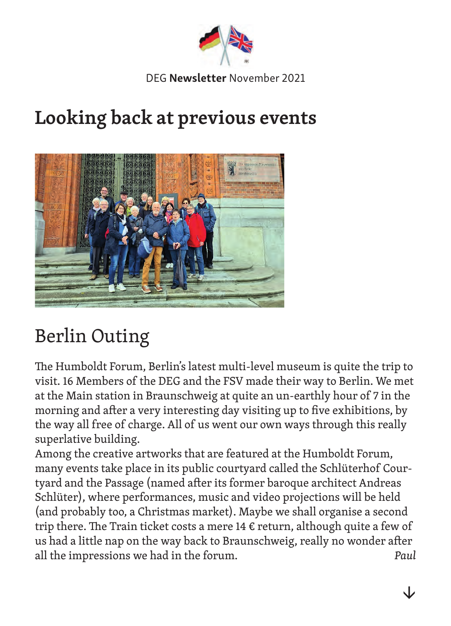

# **Looking back at previous events**



# Berlin Outing

The Humboldt Forum, Berlin's latest multi-level museum is quite the trip to visit. 16 Members of the DEG and the FSV made their way to Berlin. We met at the Main station in Braunschweig at quite an un-earthly hour of 7 in the morning and after a very interesting day visiting up to five exhibitions, by the way all free of charge. All of us went our own ways through this really superlative building.

Among the creative artworks that are featured at the Humboldt Forum, many events take place in its public courtyard called the Schlüterhof Courtyard and the Passage (named after its former baroque architect Andreas Schlüter), where performances, music and video projections will be held (and probably too, a Christmas market). Maybe we shall organise a second trip there. The Train ticket costs a mere 14  $\epsilon$  return, although quite a few of us had a little nap on the way back to Braunschweig, really no wonder after all the impressions we had in the forum. *Paul*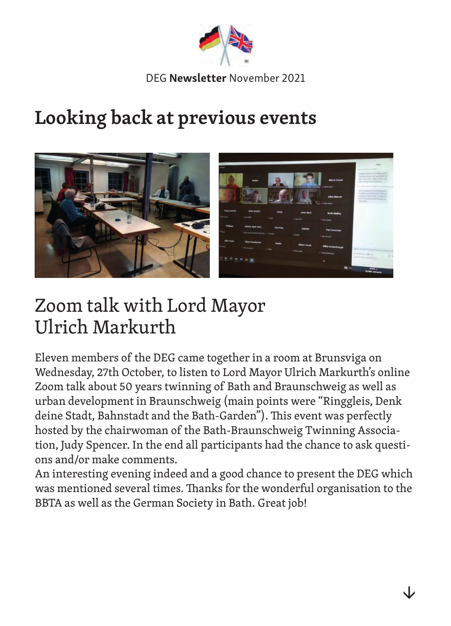

# **Looking back at previous events**



# Zoom talk with Lord Mayor Ulrich Markurth

Eleven members of the DEG came together in a room at Brunsviga on Wednesday, 27th October, to listen to Lord Mayor Ulrich Markurth's online Zoom talk about 50 years twinning of Bath and Braunschweig as well as urban development in Braunschweig (main points were "Ringgleis, Denk deine Stadt, Bahnstadt and the Bath-Garden"). This event was perfectly hosted by the chairwoman of the Bath-Braunschweig Twinning Association, Judy Spencer. In the end all participants had the chance to ask questions and/or make comments.

An interesting evening indeed and a good chance to present the DEG which was mentioned several times. Thanks for the wonderful organisation to the BBTA as well as the German Society in Bath. Great job!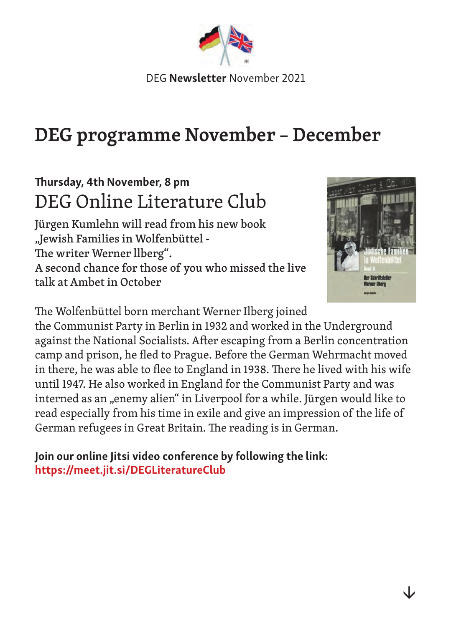

# **DEG programme November – December**

# Thursday, 4th November, 8 pm DEG Online Literature Club

Jürgen Kumlehn will read from his new book "Jewish Families in Wolfenbüttel - The writer Werner llberg". A second chance for those of you who missed the live talk at Ambet in October



The Wolfenbüttel born merchant Werner Ilberg joined

the Communist Party in Berlin in 1932 and worked in the Underground against the National Socialists. After escaping from a Berlin concentration camp and prison, he fled to Prague. Before the German Wehrmacht moved in there, he was able to flee to England in 1938. There he lived with his wife until 1947. He also worked in England for the Communist Party and was interned as an "enemy alien" in Liverpool for a while. Jürgen would like to read especially from his time in exile and give an impression of the life of German refugees in Great Britain. The reading is in German.

Join our online Jitsi video conference by following the link: https://meet.jit.si/DEGLiteratureClub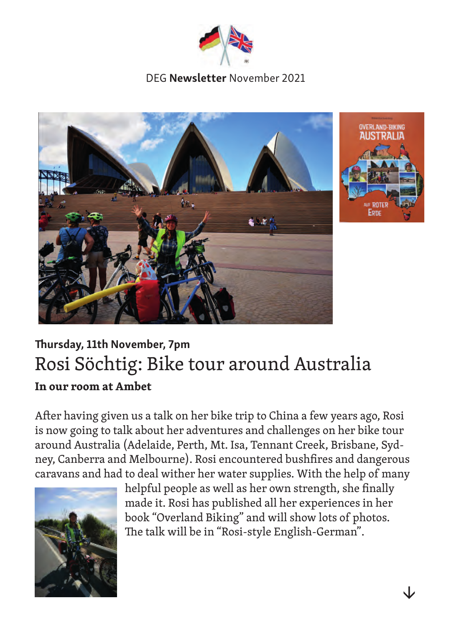





# Thursday, 11th November, 7pm Rosi Söchtig: Bike tour around Australia **In our room at Ambet**

After having given us a talk on her bike trip to China a few years ago, Rosi is now going to talk about her adventures and challenges on her bike tour around Australia (Adelaide, Perth, Mt. Isa, Tennant Creek, Brisbane, Sydney, Canberra and Melbourne). Rosi encountered bushfires and dangerous caravans and had to deal wither her water supplies. With the help of many



helpful people as well as her own strength, she finally made it. Rosi has published all her experiences in her book "Overland Biking" and will show lots of photos. The talk will be in "Rosi-style English-German".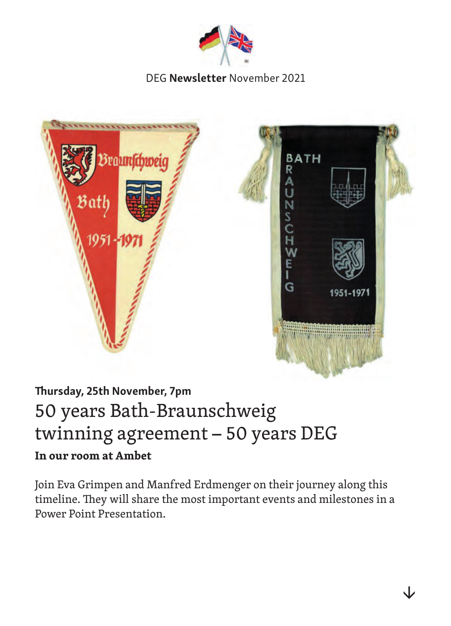



# Thursday, 25th November, 7pm 50 years Bath-Braunschweig twinning agreement – 50 years DEG **In our room at Ambet**

Join Eva Grimpen and Manfred Erdmenger on their journey along this timeline. They will share the most important events and milestones in a Power Point Presentation.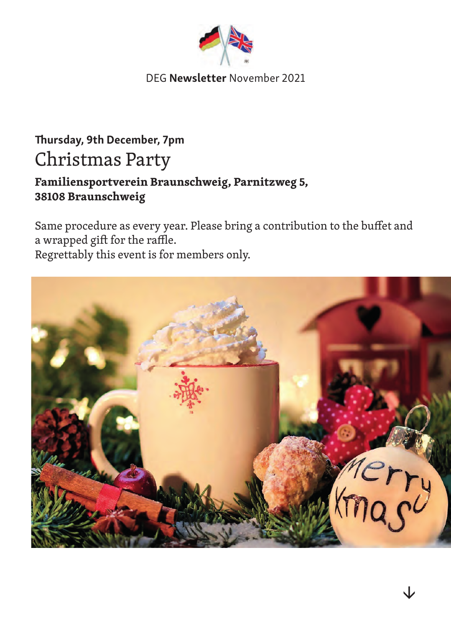

# Thursday, 9th December, 7pm Christmas Party

## **Familiensportverein Braunschweig, Parnitzweg 5, 38108 Braunschweig**

Same procedure as every year. Please bring a contribution to the buffet and a wrapped gift for the raffle.

Regrettably this event is for members only.

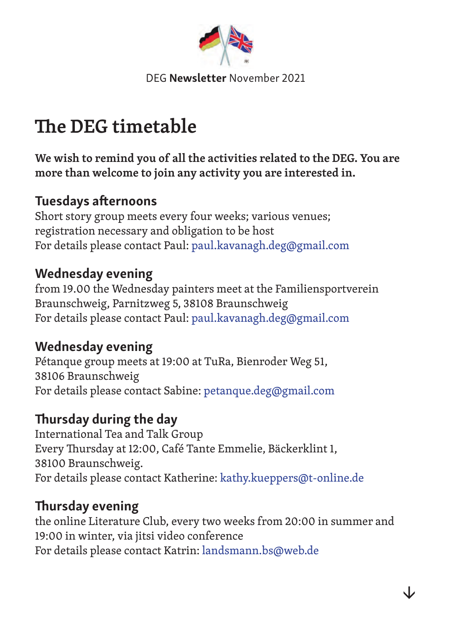

# **The DEG timetable**

**We wish to remind you of all the activities related to the DEG. You are more than welcome to join any activity you are interested in.**

## Tuesdays afternoons

Short story group meets every four weeks; various venues; registration necessary and obligation to be host For details please contact Paul: paul.kavanagh.deg@gmail.com

## Wednesday evening

from 19.00 the Wednesday painters meet at the Familiensportverein Braunschweig, Parnitzweg 5, 38108 Braunschweig For details please contact Paul: paul.kavanagh.deg@gmail.com

## Wednesday evening

Pétanque group meets at 19:00 at TuRa, Bienroder Weg 51, 38106 Braunschweig For details please contact Sabine: petanque.deg@gmail.com

# Thursday during the day

International Tea and Talk Group Every Thursday at 12:00, Café Tante Emmelie, Bäckerklint 1, 38100 Braunschweig. For details please contact Katherine: kathy.kueppers@t-online.de

## Thursday evening

the online Literature Club, every two weeks from 20:00 in summer and 19:00 in winter, via jitsi video conference For details please contact Katrin: landsmann.bs@web.de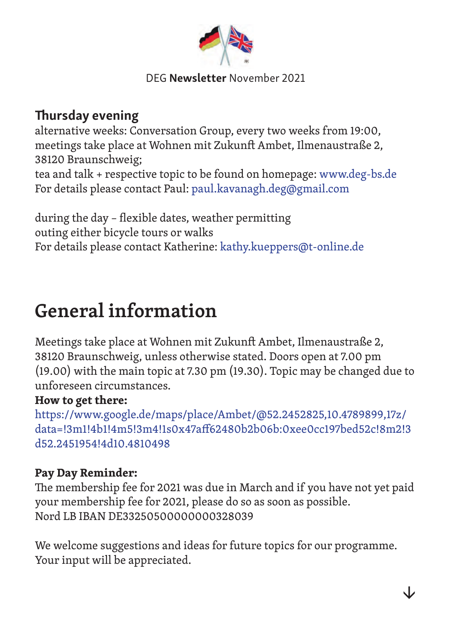

## Thursday evening

alternative weeks: Conversation Group, every two weeks from 19:00, meetings take place at Wohnen mit Zukunft Ambet, Ilmenaustraße 2, 38120 Braunschweig; tea and talk + respective topic to be found on homepage: www.deg-bs.de For details please contact Paul: paul.kavanagh.deg@gmail.com

during the day – flexible dates, weather permitting outing either bicycle tours or walks For details please contact Katherine: kathy.kueppers@t-online.de

# **General information**

Meetings take place at Wohnen mit Zukunft Ambet, Ilmenaustraße 2, 38120 Braunschweig, unless otherwise stated. Doors open at 7.00 pm (19.00) with the main topic at 7.30 pm (19.30). Topic may be changed due to unforeseen circumstances.

## **How to get there:**

https://www.google.de/maps/place/Ambet/@52.2452825,10.4789899,17z/ data=!3m1!4b1!4m5!3m4!1s0x47aff62480b2b06b:0xee0cc197bed52c!8m2!3 d52.2451954!4d10.4810498

## **Pay Day Reminder:**

The membership fee for 2021 was due in March and if you have not yet paid your membership fee for 2021, please do so as soon as possible. Nord LB IBAN DE33250500000000328039

We welcome suggestions and ideas for future topics for our programme. Your input will be appreciated.